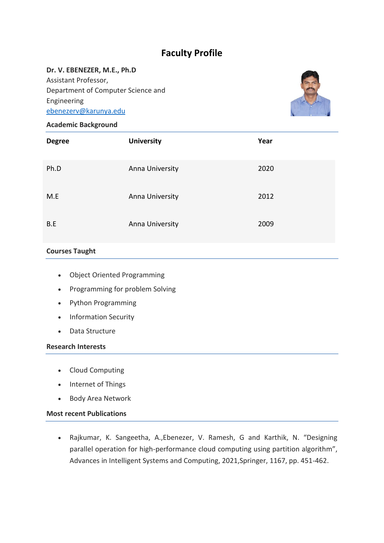# **Faculty Profile**

### **Dr. V. EBENEZER, M.E., Ph.D**

Assistant Professor, Department of Computer Science and Engineering [ebenezerv@karunya.edu](mailto:ebenezerv@karunya.edu)



## **Academic Background**

| <b>Degree</b> | <b>University</b> | Year |
|---------------|-------------------|------|
| Ph.D          | Anna University   | 2020 |
| M.E           | Anna University   | 2012 |
| B.E           | Anna University   | 2009 |

# **Courses Taught**

- Object Oriented Programming
- Programming for problem Solving
- Python Programming
- Information Security
- Data Structure

### **Research Interests**

- Cloud Computing
- Internet of Things
- Body Area Network

## **Most recent Publications**

 Rajkumar, K. Sangeetha, A.,Ebenezer, V. Ramesh, G and Karthik, N. "Designing parallel operation for high-performance cloud computing using partition algorithm", Advances in Intelligent Systems and Computing, 2021,Springer, 1167, pp. 451-462.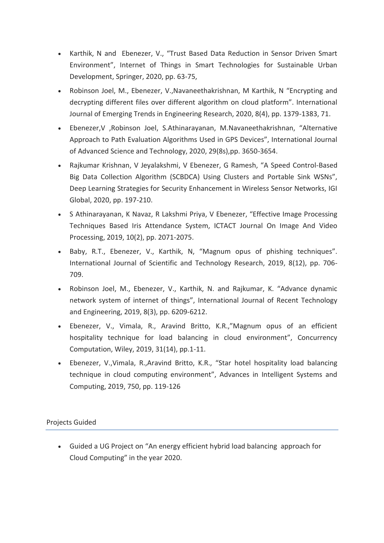- Karthik, N and Ebenezer, V., "Trust Based Data Reduction in Sensor Driven Smart Environment", Internet of Things in Smart Technologies for Sustainable Urban Development, Springer, 2020, pp. 63-75,
- Robinson Joel, M., Ebenezer, V.,Navaneethakrishnan, M Karthik, N "Encrypting and decrypting different files over different algorithm on cloud platform". International Journal of Emerging Trends in Engineering Research, 2020, 8(4), pp. 1379-1383, 71.
- Ebenezer,V ,Robinson Joel, S.Athinarayanan, M.Navaneethakrishnan, "Alternative Approach to Path Evaluation Algorithms Used in GPS Devices", International Journal of Advanced Science and Technology, 2020, 29(8s),pp. 3650-3654.
- Rajkumar Krishnan, V Jeyalakshmi, V Ebenezer, G Ramesh, "A Speed Control-Based Big Data Collection Algorithm (SCBDCA) Using Clusters and Portable Sink WSNs", Deep Learning Strategies for Security Enhancement in Wireless Sensor Networks, IGI Global, 2020, pp. 197-210.
- S Athinarayanan, K Navaz, R Lakshmi Priya, V Ebenezer, "Effective Image Processing Techniques Based Iris Attendance System, ICTACT Journal On Image And Video Processing, 2019, 10(2), pp. 2071-2075.
- Baby, R.T., Ebenezer, V., Karthik, N, "Magnum opus of phishing techniques". International Journal of Scientific and Technology Research, 2019, 8(12), pp. 706- 709.
- Robinson Joel, M., Ebenezer, V., Karthik, N. and Rajkumar, K. "Advance dynamic network system of internet of things", International Journal of Recent Technology and Engineering, 2019, 8(3), pp. 6209-6212.
- Ebenezer, V., Vimala, R., Aravind Britto, K.R.,"Magnum opus of an efficient hospitality technique for load balancing in cloud environment", Concurrency Computation, Wiley, 2019, 31(14), pp.1-11.
- Ebenezer, V.,Vimala, R.,Aravind Britto, K.R., "Star hotel hospitality load balancing technique in cloud computing environment", Advances in Intelligent Systems and Computing, 2019, 750, pp. 119-126

Projects Guided

 Guided a UG Project on "An energy efficient hybrid load balancing approach for Cloud Computing" in the year 2020.